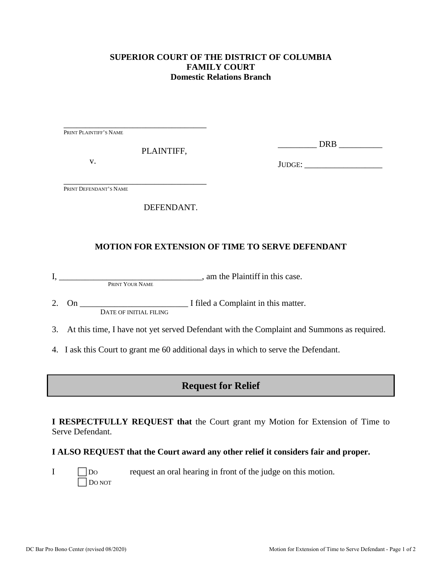#### **SUPERIOR COURT OF THE DISTRICT OF COLUMBIA FAMILY COURT Domestic Relations Branch**

\_\_\_\_\_\_\_\_\_\_\_\_\_\_\_\_\_\_\_\_\_\_\_\_\_\_\_\_\_\_\_\_\_ PRINT PLAINTIFF'S NAME

PLAINTIFF,

v.

\_\_\_\_\_\_\_\_\_ DRB \_\_\_\_\_\_\_\_\_\_

JUDGE:

\_\_\_\_\_\_\_\_\_\_\_\_\_\_\_\_\_\_\_\_\_\_\_\_\_\_\_\_\_\_\_\_\_ PRINT DEFENDANT'S NAME

### DEFENDANT.

## **MOTION FOR EXTENSION OF TIME TO SERVE DEFENDANT**

I, \_\_\_\_\_\_\_\_\_\_\_\_\_\_\_\_\_\_\_\_\_\_\_\_\_\_\_\_\_\_\_\_\_, am the Plaintiff in this case. PRINT YOUR NAME

2. On \_\_\_\_\_\_\_\_\_\_\_\_\_\_\_\_\_\_\_\_\_\_\_\_\_ I filed a Complaint in this matter. DATE OF INITIAL FILING

3. At this time, I have not yet served Defendant with the Complaint and Summons as required.

4. I ask this Court to grant me 60 additional days in which to serve the Defendant.

# **Request for Relief**

**I RESPECTFULLY REQUEST that** the Court grant my Motion for Extension of Time to Serve Defendant.

### **I ALSO REQUEST that the Court award any other relief it considers fair and proper.**

 $I \qquad \qquad$  Do request an oral hearing in front of the judge on this motion.